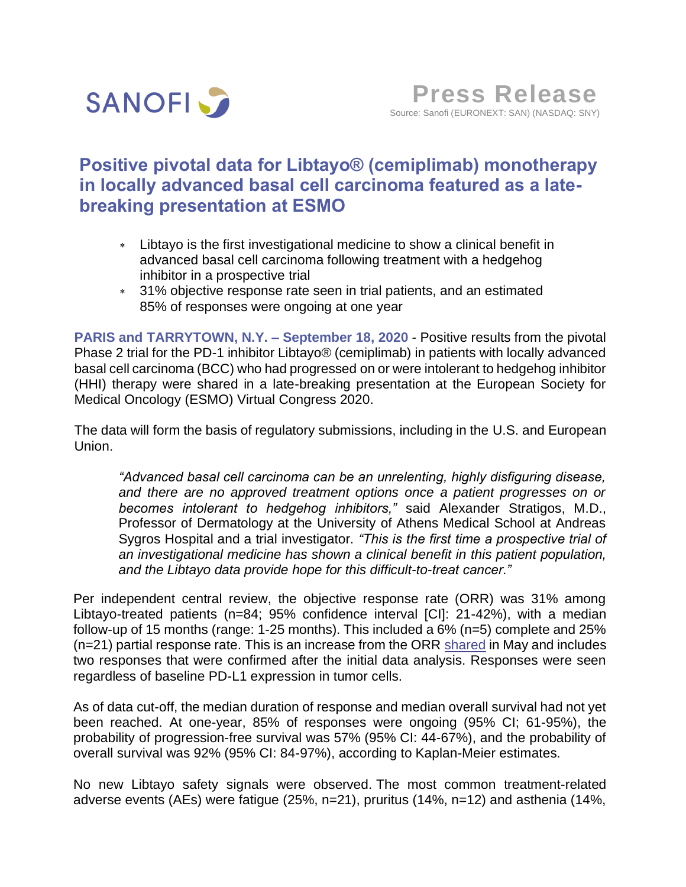

# **Positive pivotal data for Libtayo® (cemiplimab) monotherapy in locally advanced basal cell carcinoma featured as a latebreaking presentation at ESMO**

- Libtayo is the first investigational medicine to show a clinical benefit in advanced basal cell carcinoma following treatment with a hedgehog inhibitor in a prospective trial
- 31% objective response rate seen in trial patients, and an estimated 85% of responses were ongoing at one year

**PARIS and TARRYTOWN, N.Y. – September 18, 2020** - Positive results from the pivotal Phase 2 trial for the PD-1 inhibitor Libtayo® (cemiplimab) in patients with locally advanced basal cell carcinoma (BCC) who had progressed on or were intolerant to hedgehog inhibitor (HHI) therapy were shared in a late-breaking presentation at the European Society for Medical Oncology (ESMO) Virtual Congress 2020.

The data will form the basis of regulatory submissions, including in the U.S. and European Union.

*"Advanced basal cell carcinoma can be an unrelenting, highly disfiguring disease, and there are no approved treatment options once a patient progresses on or becomes intolerant to hedgehog inhibitors,"* said Alexander Stratigos, M.D., Professor of Dermatology at the University of Athens Medical School at Andreas Sygros Hospital and a trial investigator. *"This is the first time a prospective trial of an investigational medicine has shown a clinical benefit in this patient population, and the Libtayo data provide hope for this difficult-to-treat cancer."*

Per independent central review, the objective response rate (ORR) was 31% among Libtayo-treated patients (n=84; 95% confidence interval [CI]: 21-42%), with a median follow-up of 15 months (range: 1-25 months). This included a 6% (n=5) complete and 25% (n=21) partial response rate. This is an increase from the ORR [shared](https://www.sanofi.com/en/media-room/press-releases/2020/2020-05-05-07-00-00) in May and includes two responses that were confirmed after the initial data analysis. Responses were seen regardless of baseline PD-L1 expression in tumor cells.

As of data cut-off, the median duration of response and median overall survival had not yet been reached. At one-year, 85% of responses were ongoing (95% CI; 61-95%), the probability of progression-free survival was 57% (95% CI: 44-67%), and the probability of overall survival was 92% (95% CI: 84-97%), according to Kaplan-Meier estimates.

No new Libtayo safety signals were observed. The most common treatment-related adverse events (AEs) were fatigue (25%, n=21), pruritus (14%, n=12) and asthenia (14%,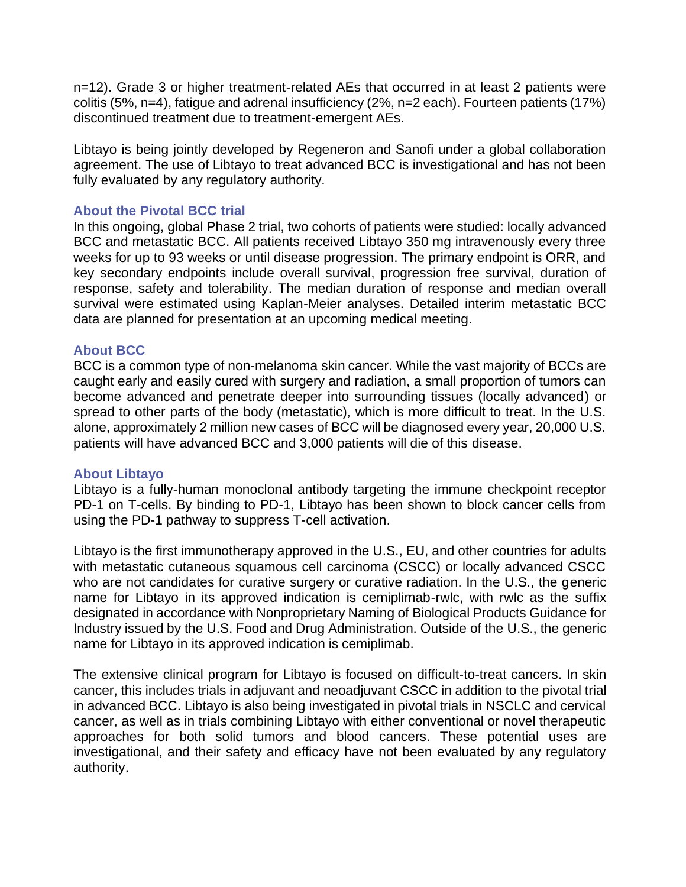n=12). Grade 3 or higher treatment-related AEs that occurred in at least 2 patients were colitis (5%, n=4), fatigue and adrenal insufficiency (2%, n=2 each). Fourteen patients (17%) discontinued treatment due to treatment-emergent AEs.

Libtayo is being jointly developed by Regeneron and Sanofi under a global collaboration agreement. The use of Libtayo to treat advanced BCC is investigational and has not been fully evaluated by any regulatory authority.

# **About the Pivotal BCC trial**

In this ongoing, global Phase 2 trial, two cohorts of patients were studied: locally advanced BCC and metastatic BCC. All patients received Libtayo 350 mg intravenously every three weeks for up to 93 weeks or until disease progression. The primary endpoint is ORR, and key secondary endpoints include overall survival, progression free survival, duration of response, safety and tolerability. The median duration of response and median overall survival were estimated using Kaplan-Meier analyses. Detailed interim metastatic BCC data are planned for presentation at an upcoming medical meeting.

# **About BCC**

BCC is a common type of non-melanoma skin cancer. While the vast majority of BCCs are caught early and easily cured with surgery and radiation, a small proportion of tumors can become advanced and penetrate deeper into surrounding tissues (locally advanced) or spread to other parts of the body (metastatic), which is more difficult to treat. In the U.S. alone, approximately 2 million new cases of BCC will be diagnosed every year, 20,000 U.S. patients will have advanced BCC and 3,000 patients will die of this disease.

# **About Libtayo**

Libtayo is a fully-human monoclonal antibody targeting the immune checkpoint receptor PD-1 on T-cells. By binding to PD-1, Libtayo has been shown to block cancer cells from using the PD-1 pathway to suppress T-cell activation.

Libtayo is the first immunotherapy approved in the U.S., EU, and other countries for adults with metastatic cutaneous squamous cell carcinoma (CSCC) or locally advanced CSCC who are not candidates for curative surgery or curative radiation. In the U.S., the generic name for Libtayo in its approved indication is cemiplimab-rwlc, with rwlc as the suffix designated in accordance with Nonproprietary Naming of Biological Products Guidance for Industry issued by the U.S. Food and Drug Administration. Outside of the U.S., the generic name for Libtayo in its approved indication is cemiplimab.

The extensive clinical program for Libtayo is focused on difficult-to-treat cancers. In skin cancer, this includes trials in adjuvant and neoadjuvant CSCC in addition to the pivotal trial in advanced BCC. Libtayo is also being investigated in pivotal trials in NSCLC and cervical cancer, as well as in trials combining Libtayo with either conventional or novel therapeutic approaches for both solid tumors and blood cancers. These potential uses are investigational, and their safety and efficacy have not been evaluated by any regulatory authority.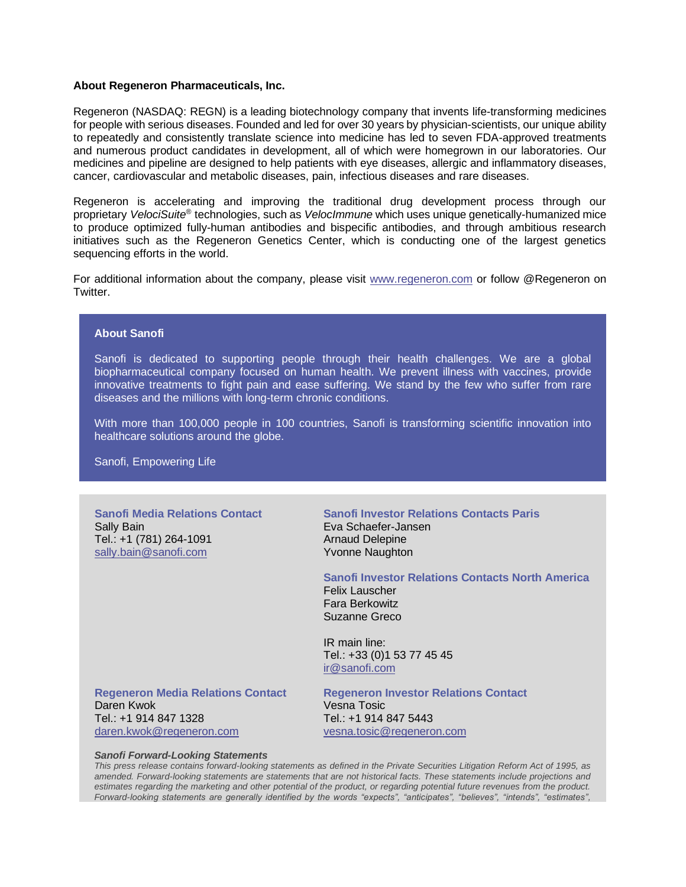### **About Regeneron Pharmaceuticals, Inc.**

Regeneron (NASDAQ: REGN) is a leading biotechnology company that invents life-transforming medicines for people with serious diseases. Founded and led for over 30 years by physician-scientists, our unique ability to repeatedly and consistently translate science into medicine has led to seven FDA-approved treatments and numerous product candidates in development, all of which were homegrown in our laboratories. Our medicines and pipeline are designed to help patients with eye diseases, allergic and inflammatory diseases, cancer, cardiovascular and metabolic diseases, pain, infectious diseases and rare diseases.

Regeneron is accelerating and improving the traditional drug development process through our proprietary *VelociSuite*® technologies, such as *VelocImmune* which uses unique genetically-humanized mice to produce optimized fully-human antibodies and bispecific antibodies, and through ambitious research initiatives such as the Regeneron Genetics Center, which is conducting one of the largest genetics sequencing efforts in the world.

For additional information about the company, please visit [www.regeneron.com](http://www.regeneron.com/) or follow @Regeneron on Twitter.

### **About Sanofi**

Sanofi is dedicated to supporting people through their health challenges. We are a global biopharmaceutical company focused on human health. We prevent illness with vaccines, provide innovative treatments to fight pain and ease suffering. We stand by the few who suffer from rare diseases and the millions with long-term chronic conditions.

With more than 100,000 people in 100 countries, Sanofi is transforming scientific innovation into healthcare solutions around the globe.

Sanofi, Empowering Life

**Sanofi Media Relations Contact** Sally Bain Tel.: +1 (781) 264-1091 [sally.bain@sanofi.com](mailto:sally.bain@sanofi.com)

**Sanofi Investor Relations Contacts Paris** Eva Schaefer-Jansen Arnaud Delepine Yvonne Naughton

**Sanofi Investor Relations Contacts North America** Felix Lauscher Fara Berkowitz Suzanne Greco

IR main line: Tel.: +33 (0)1 53 77 45 45 [ir@sanofi.com](mailto:ir@sanofi.com)

**Regeneron Media Relations Contact** Daren Kwok Tel.: +1 914 847 1328 [daren.kwok@regeneron.com](mailto:daren.kwok@regeneron.com)

**Regeneron Investor Relations Contact** Vesna Tosic Tel.: +1 914 847 5443 [vesna.tosic@regeneron.com](mailto:vesna.tosic@regeneron.com)

#### *Sanofi Forward-Looking Statements*

*This press release contains forward-looking statements as defined in the Private Securities Litigation Reform Act of 1995, as amended. Forward-looking statements are statements that are not historical facts. These statements include projections and estimates regarding the marketing and other potential of the product, or regarding potential future revenues from the product. Forward-looking statements are generally identified by the words "expects", "anticipates", "believes", "intends", "estimates",*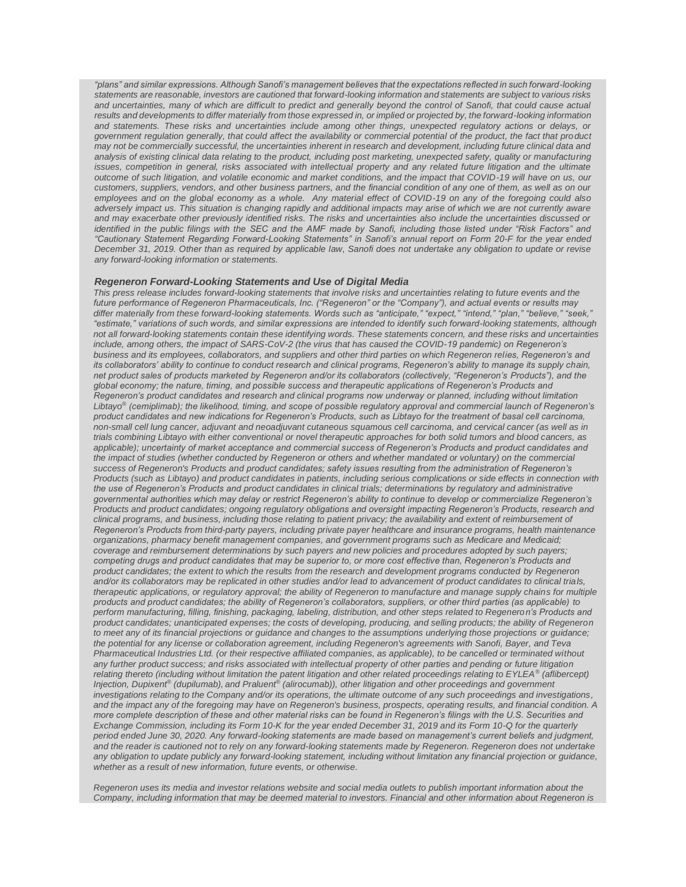*"plans" and similar expressions. Although Sanofi's management believes that the expectations reflected in such forward-looking statements are reasonable, investors are cautioned that forward-looking information and statements are subject to various risks and uncertainties, many of which are difficult to predict and generally beyond the control of Sanofi, that could cause actual results and developments to differ materially from those expressed in, or implied or projected by, the forward-looking information and statements. These risks and uncertainties include among other things, unexpected regulatory actions or delays, or government regulation generally, that could affect the availability or commercial potential of the product, the fact that product may not be commercially successful, the uncertainties inherent in research and development, including future clinical data and analysis of existing clinical data relating to the product, including post marketing, unexpected safety, quality or manufacturing issues, competition in general, risks associated with intellectual property and any related future litigation and the ultimate outcome of such litigation, and volatile economic and market conditions, and the impact that COVID-19 will have on us, our customers, suppliers, vendors, and other business partners, and the financial condition of any one of them, as well as on our employees and on the global economy as a whole. Any material effect of COVID-19 on any of the foregoing could also adversely impact us. This situation is changing rapidly and additional impacts may arise of which we are not currently aware and may exacerbate other previously identified risks. The risks and uncertainties also include the uncertainties discussed or identified in the public filings with the SEC and the AMF made by Sanofi, including those listed under "Risk Factors" and "Cautionary Statement Regarding Forward-Looking Statements" in Sanofi's annual report on Form 20-F for the year ended December 31, 2019. Other than as required by applicable law, Sanofi does not undertake any obligation to update or revise any forward-looking information or statements.*

#### *Regeneron Forward-Looking Statements and Use of Digital Media*

*This press release includes forward-looking statements that involve risks and uncertainties relating to future events and the future performance of Regeneron Pharmaceuticals, Inc. ("Regeneron" or the "Company"), and actual events or results may differ materially from these forward-looking statements. Words such as "anticipate," "expect," "intend," "plan," "believe," "seek," "estimate," variations of such words, and similar expressions are intended to identify such forward-looking statements, although not all forward-looking statements contain these identifying words. These statements concern, and these risks and uncertainties*  include, among others, the impact of SARS-CoV-2 (the virus that has caused the COVID-19 pandemic) on Regeneron's *business and its employees, collaborators, and suppliers and other third parties on which Regeneron relies, Regeneron's and its collaborators' ability to continue to conduct research and clinical programs, Regeneron's ability to manage its supply chain, net product sales of products marketed by Regeneron and/or its collaborators (collectively, "Regeneron's Products"), and the global economy; the nature, timing, and possible success and therapeutic applications of Regeneron's Products and Regeneron's product candidates and research and clinical programs now underway or planned, including without limitation Libtayo® (cemiplimab); the likelihood, timing, and scope of possible regulatory approval and commercial launch of Regeneron's product candidates and new indications for Regeneron's Products, such as Libtayo for the treatment of basal cell carcinoma, non-small cell lung cancer, adjuvant and neoadjuvant cutaneous squamous cell carcinoma, and cervical cancer (as well as in trials combining Libtayo with either conventional or novel therapeutic approaches for both solid tumors and blood cancers, as applicable); uncertainty of market acceptance and commercial success of Regeneron's Products and product candidates and the impact of studies (whether conducted by Regeneron or others and whether mandated or voluntary) on the commercial success of Regeneron's Products and product candidates; safety issues resulting from the administration of Regeneron's Products (such as Libtayo) and product candidates in patients, including serious complications or side effects in connection with the use of Regeneron's Products and product candidates in clinical trials; determinations by regulatory and administrative governmental authorities which may delay or restrict Regeneron's ability to continue to develop or commercialize Regeneron's Products and product candidates; ongoing regulatory obligations and oversight impacting Regeneron's Products, research and clinical programs, and business, including those relating to patient privacy; the availability and extent of reimbursement of Regeneron's Products from third-party payers, including private payer healthcare and insurance programs, health maintenance organizations, pharmacy benefit management companies, and government programs such as Medicare and Medicaid; coverage and reimbursement determinations by such payers and new policies and procedures adopted by such payers; competing drugs and product candidates that may be superior to, or more cost effective than, Regeneron's Products and product candidates; the extent to which the results from the research and development programs conducted by Regeneron and/or its collaborators may be replicated in other studies and/or lead to advancement of product candidates to clinical trials, therapeutic applications, or regulatory approval; the ability of Regeneron to manufacture and manage supply chains for multiple products and product candidates; the ability of Regeneron's collaborators, suppliers, or other third parties (as applicable) to perform manufacturing, filling, finishing, packaging, labeling, distribution, and other steps related to Regeneron's Products and product candidates; unanticipated expenses; the costs of developing, producing, and selling products; the ability of Regeneron to meet any of its financial projections or guidance and changes to the assumptions underlying those projections or guidance; the potential for any license or collaboration agreement, including Regeneron's agreements with Sanofi, Bayer, and Teva Pharmaceutical Industries Ltd. (or their respective affiliated companies, as applicable), to be cancelled or terminated without any further product success; and risks associated with intellectual property of other parties and pending or future litigation relating thereto (including without limitation the patent litigation and other related proceedings relating to EYLEA® (aflibercept) Injection, Dupixent® (dupilumab), and Praluent® (alirocumab)), other litigation and other proceedings and government investigations relating to the Company and/or its operations, the ultimate outcome of any such proceedings and investigations, and the impact any of the foregoing may have on Regeneron's business, prospects, operating results, and financial condition. A more complete description of these and other material risks can be found in Regeneron's filings with the U.S. Securities and Exchange Commission, including its Form 10-K for the year ended December 31, 2019 and its Form 10-Q for the quarterly period ended June 30, 2020. Any forward-looking statements are made based on management's current beliefs and judgment, and the reader is cautioned not to rely on any forward-looking statements made by Regeneron. Regeneron does not undertake any obligation to update publicly any forward-looking statement, including without limitation any financial projection or guidance, whether as a result of new information, future events, or otherwise.*

*Regeneron uses its media and investor relations website and social media outlets to publish important information about the Company, including information that may be deemed material to investors. Financial and other information about Regeneron is*